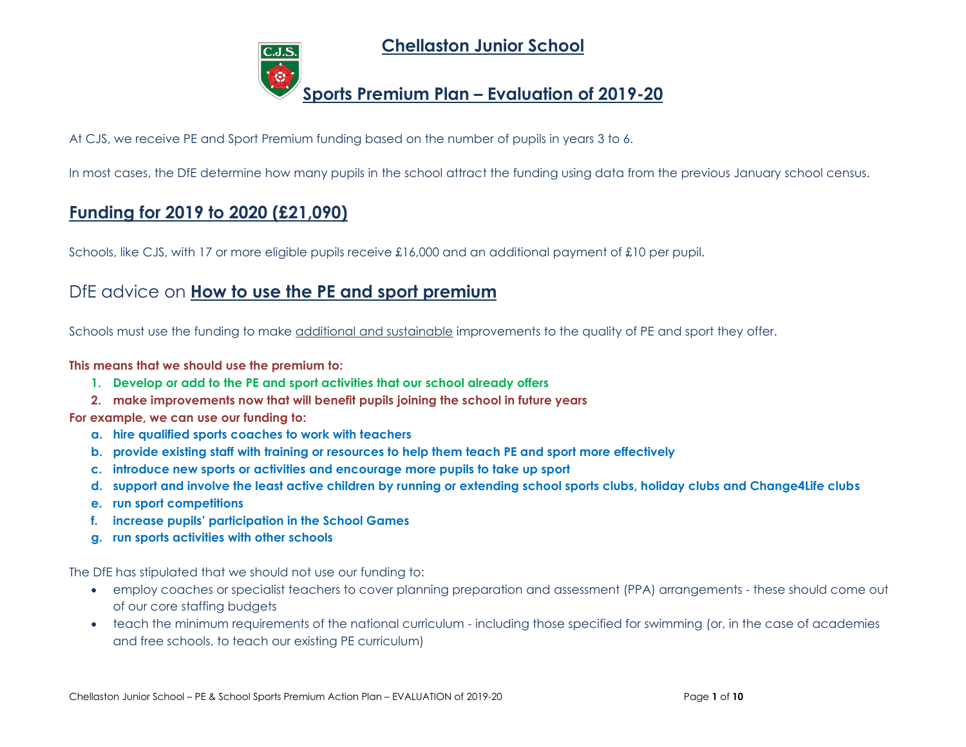**Chellaston Junior School**

# **Sports Premium Plan – Evaluation of 2019-20**

At CJS, we receive PE and Sport Premium funding based on the number of pupils in years 3 to 6.

In most cases, the DfE determine how many pupils in the school attract the funding using data from the previous January school census.

## **Funding for 2019 to 2020 (£21,090)**

Schools, like CJS, with 17 or more eligible pupils receive £16,000 and an additional payment of £10 per pupil.

## DfE advice on **How to use the PE and sport premium**

Schools must use the funding to make additional and sustainable improvements to the quality of PE and sport they offer.

### **This means that we should use the premium to:**

- **1. Develop or add to the PE and sport activities that our school already offers**
- **2. make improvements now that will benefit pupils joining the school in future years**

**For example, we can use our funding to:**

- **a. hire qualified sports coaches to work with teachers**
- **b. provide existing staff with training or resources to help them teach PE and sport more effectively**
- **c. introduce new sports or activities and encourage more pupils to take up sport**
- **d. support and involve the least active children by running or extending school sports clubs, holiday clubs and Change4Life clubs**
- **e. run sport competitions**
- **f. increase pupils' participation in the School Games**
- **g. run sports activities with other schools**

The DfE has stipulated that we should not use our funding to:

- employ coaches or specialist teachers to cover planning preparation and assessment (PPA) arrangements these should come out of our core staffing budgets
- teach the minimum requirements of the national curriculum including those specified for swimming (or, in the case of academies and free schools, to teach our existing PE curriculum)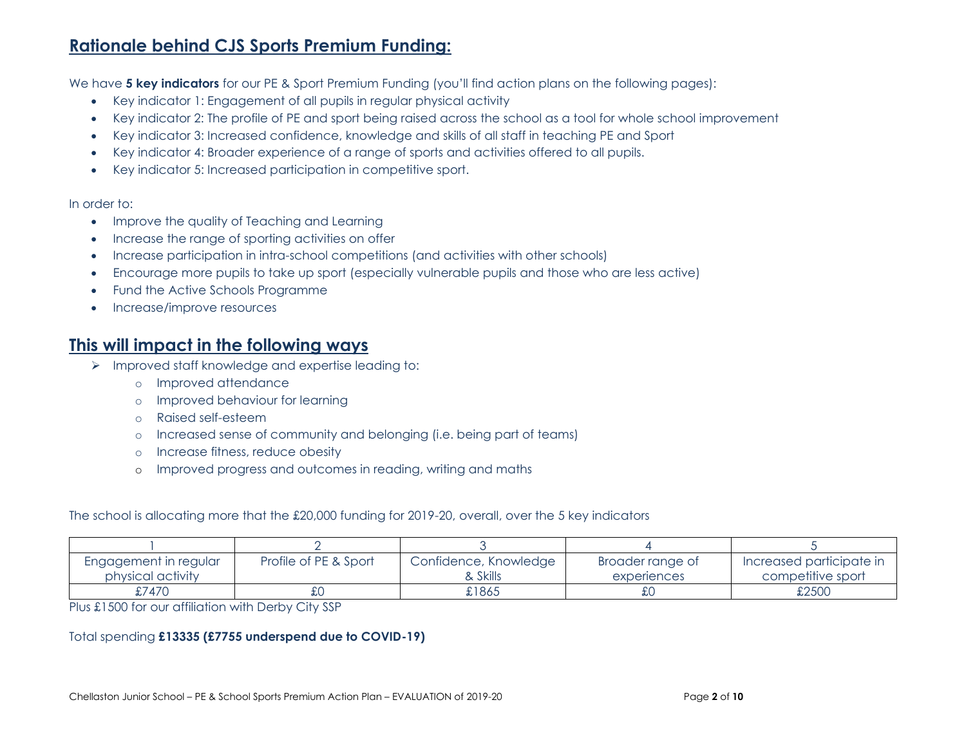# **Rationale behind CJS Sports Premium Funding:**

We have **5 key indicators** for our PE & Sport Premium Funding (you'll find action plans on the following pages):

- Key indicator 1: Engagement of all pupils in regular physical activity
- Key indicator 2: The profile of PE and sport being raised across the school as a tool for whole school improvement
- Key indicator 3: Increased confidence, knowledge and skills of all staff in teaching PE and Sport
- Key indicator 4: Broader experience of a range of sports and activities offered to all pupils.
- Key indicator 5: Increased participation in competitive sport.

#### In order to:

- Improve the quality of Teaching and Learning
- Increase the range of sporting activities on offer
- Increase participation in intra-school competitions (and activities with other schools)
- Encourage more pupils to take up sport (especially vulnerable pupils and those who are less active)
- Fund the Active Schools Programme
- Increase/improve resources

### **This will impact in the following ways**

- ➢ Improved staff knowledge and expertise leading to:
	- o Improved attendance
	- o Improved behaviour for learning
	- o Raised self-esteem
	- o Increased sense of community and belonging (i.e. being part of teams)
	- o Increase fitness, reduce obesity
	- o Improved progress and outcomes in reading, writing and maths

The school is allocating more that the £20,000 funding for 2019-20, overall, over the 5 key indicators

| Engagement in regular | Profile of PE & Sport | Confidence, Knowledge | Broader range of | Increased participate in |
|-----------------------|-----------------------|-----------------------|------------------|--------------------------|
| physical activity     |                       | & Skills              | experiences      | competitive sport        |
| £7470                 | むし                    | £1865                 | £0               | £2500                    |

Plus £1500 for our affiliation with Derby City SSP

### Total spending **£13335 (£7755 underspend due to COVID-19)**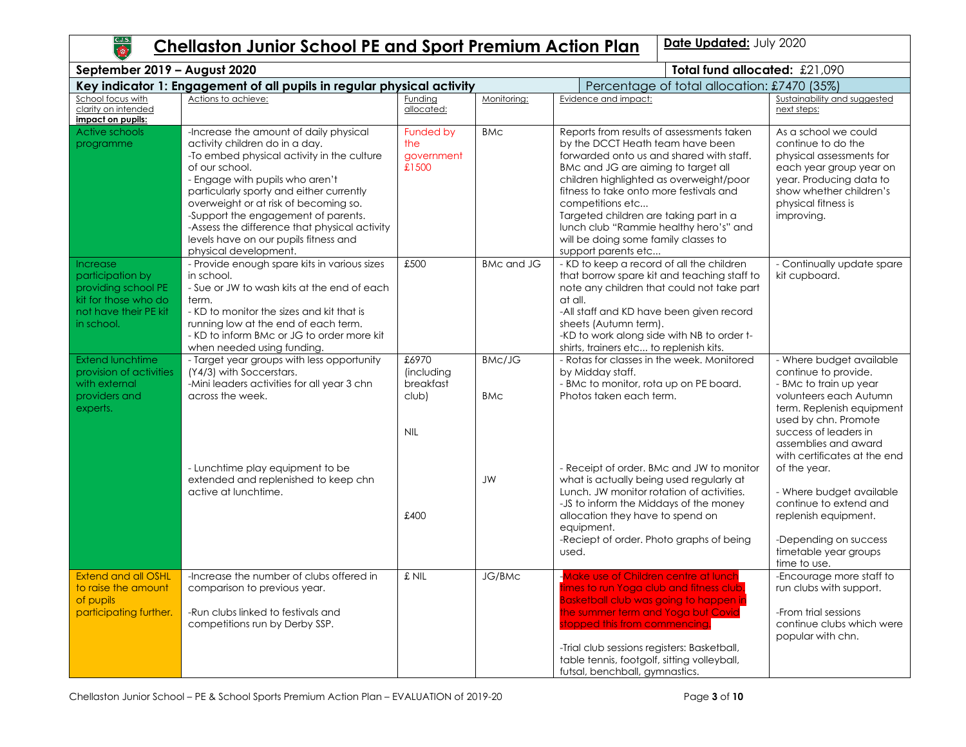

# **Chellaston Junior School PE and Sport Premium Action Plan | Date Updated: July 2020**

| Total fund allocated: £21,090<br>September 2019 - August 2020                                                      |                                                                                                                                                                                                                                                                                                                                                                                                                            |                                                         |                             |                                                                                                                                                                                                                                                                                                                                                                                                                               |                                                                                                                                                                                                                                            |  |  |
|--------------------------------------------------------------------------------------------------------------------|----------------------------------------------------------------------------------------------------------------------------------------------------------------------------------------------------------------------------------------------------------------------------------------------------------------------------------------------------------------------------------------------------------------------------|---------------------------------------------------------|-----------------------------|-------------------------------------------------------------------------------------------------------------------------------------------------------------------------------------------------------------------------------------------------------------------------------------------------------------------------------------------------------------------------------------------------------------------------------|--------------------------------------------------------------------------------------------------------------------------------------------------------------------------------------------------------------------------------------------|--|--|
|                                                                                                                    | Key indicator 1: Engagement of all pupils in regular physical activity                                                                                                                                                                                                                                                                                                                                                     |                                                         |                             | Percentage of total allocation: £7470 (35%)                                                                                                                                                                                                                                                                                                                                                                                   |                                                                                                                                                                                                                                            |  |  |
| School focus with<br>clarity on intended<br>impact on pupils:                                                      | Actions to achieve:                                                                                                                                                                                                                                                                                                                                                                                                        | Funding<br>allocated:                                   | Monitoring:                 | Evidence and impact:                                                                                                                                                                                                                                                                                                                                                                                                          | Sustainability and suggested<br>next steps:                                                                                                                                                                                                |  |  |
| <b>Active schools</b><br>programme                                                                                 | -Increase the amount of daily physical<br>activity children do in a day.<br>-To embed physical activity in the culture<br>of our school.<br>- Engage with pupils who aren't<br>particularly sporty and either currently<br>overweight or at risk of becoming so.<br>-Support the engagement of parents.<br>-Assess the difference that physical activity<br>levels have on our pupils fitness and<br>physical development. | Funded by<br>the<br>government<br>£1500                 | <b>BMC</b>                  | Reports from results of assessments taken<br>by the DCCT Heath team have been<br>forwarded onto us and shared with staff.<br>BMc and JG are aiming to target all<br>children highlighted as overweight/poor<br>fitness to take onto more festivals and<br>competitions etc<br>Targeted children are taking part in a<br>lunch club "Rammie healthy hero's" and<br>will be doing some family classes to<br>support parents etc | As a school we could<br>continue to do the<br>physical assessments for<br>each year group year on<br>year. Producing data to<br>show whether children's<br>physical fitness is<br>improving.                                               |  |  |
| Increase<br>participation by<br>providing school PE<br>kit for those who do<br>not have their PE kit<br>in school. | - Provide enough spare kits in various sizes<br>in school.<br>- Sue or JW to wash kits at the end of each<br>term.<br>- KD to monitor the sizes and kit that is<br>running low at the end of each term.<br>- KD to inform BMc or JG to order more kit<br>when needed using funding.                                                                                                                                        | £500                                                    | <b>BMc and JG</b>           | - KD to keep a record of all the children<br>that borrow spare kit and teaching staff to<br>note any children that could not take part<br>at all.<br>-All staff and KD have been given record<br>sheets (Autumn term).<br>-KD to work along side with NB to order t-<br>shirts, trainers etc to replenish kits.                                                                                                               | - Continually update spare<br>kit cupboard.                                                                                                                                                                                                |  |  |
| <b>Extend lunchtime</b><br>provision of activities<br>with external<br>providers and<br>experts.                   | - Target year groups with less opportunity<br>(Y4/3) with Soccerstars.<br>-Mini leaders activities for all year 3 chn<br>across the week.                                                                                                                                                                                                                                                                                  | £6970<br>(including<br>breakfast<br>club)<br><b>NIL</b> | <b>BMc/JG</b><br><b>BMc</b> | - Rotas for classes in the week. Monitored<br>by Midday staff.<br>- BMc to monitor, rota up on PE board.<br>Photos taken each term.                                                                                                                                                                                                                                                                                           | - Where budget available<br>continue to provide.<br>- BMc to train up year<br>volunteers each Autumn<br>term. Replenish equipment<br>used by chn. Promote<br>success of leaders in<br>assemblies and award<br>with certificates at the end |  |  |
|                                                                                                                    | - Lunchtime play equipment to be<br>extended and replenished to keep chn<br>active at lunchtime.                                                                                                                                                                                                                                                                                                                           | £400                                                    | <b>JW</b>                   | - Receipt of order. BMc and JW to monitor<br>what is actually being used regularly at<br>Lunch. JW monitor rotation of activities.<br>-JS to inform the Middays of the money<br>allocation they have to spend on<br>equipment.<br>-Reciept of order. Photo graphs of being<br>used.                                                                                                                                           | of the year.<br>- Where budget available<br>continue to extend and<br>replenish equipment.<br>-Depending on success<br>timetable year groups<br>time to use.                                                                               |  |  |
| <b>Extend and all OSHL</b><br>to raise the amount<br>of pupils<br>participating further.                           | -Increase the number of clubs offered in<br>comparison to previous year.<br>-Run clubs linked to festivals and<br>competitions run by Derby SSP.                                                                                                                                                                                                                                                                           | £ NIL                                                   | JG/BMc                      | <b>Make use of Children centre at lunch</b><br>times to run Yoga club and fitness club.<br><b>Basketball club was going to happen in</b><br>the summer term and Yoga but Covid<br>stopped this from commencing.<br>-Trial club sessions registers: Basketball,<br>table tennis, footgolf, sitting volleyball,<br>futsal, benchball, gymnastics.                                                                               | -Encourage more staff to<br>run clubs with support.<br>-From trial sessions<br>continue clubs which were<br>popular with chn.                                                                                                              |  |  |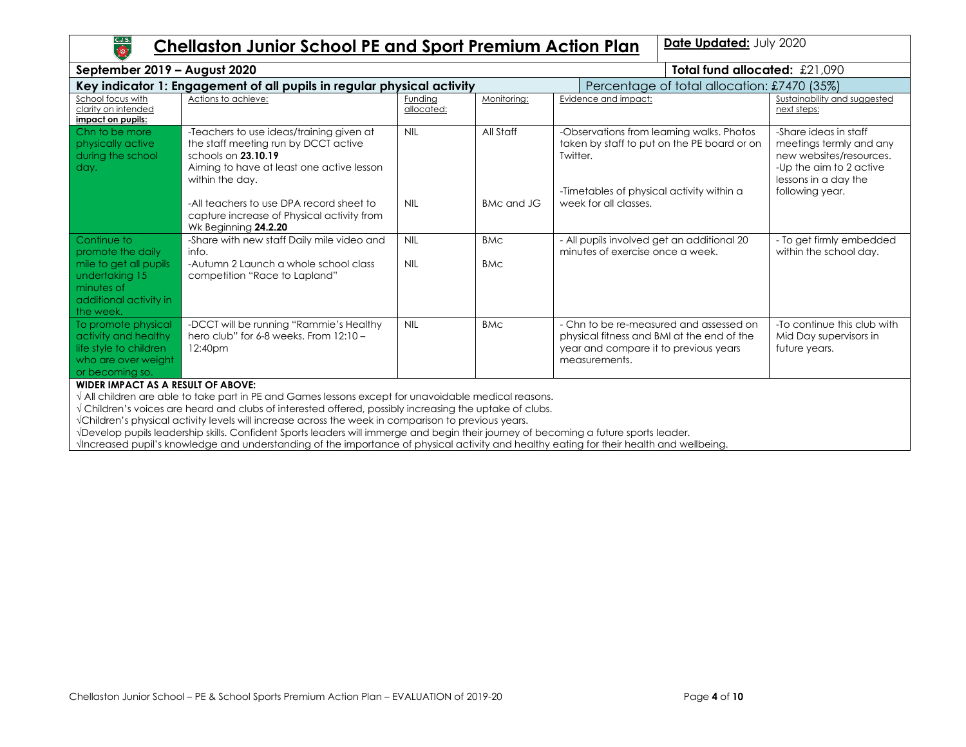

## **Chellaston Junior School PE and Sport Premium Action Plan | Date Updated: July 2020**

| September 2019 - August 2020                                                                                    |                                                                                                                                                                         | Total fund allocated: £21,090 |             |                                                                                                                                                   |                                             |                                                                                                                                                   |  |
|-----------------------------------------------------------------------------------------------------------------|-------------------------------------------------------------------------------------------------------------------------------------------------------------------------|-------------------------------|-------------|---------------------------------------------------------------------------------------------------------------------------------------------------|---------------------------------------------|---------------------------------------------------------------------------------------------------------------------------------------------------|--|
|                                                                                                                 | Key indicator 1: Engagement of all pupils in regular physical activity                                                                                                  |                               |             |                                                                                                                                                   | Percentage of total allocation: £7470 (35%) |                                                                                                                                                   |  |
| School focus with<br>clarity on intended<br>impact on pupils:                                                   | Actions to achieve:                                                                                                                                                     | <b>Funding</b><br>allocated:  | Monitoring: | Evidence and impact:                                                                                                                              |                                             | Sustainability and suggested<br>next steps:                                                                                                       |  |
| Chn to be more<br>physically active<br>during the school<br>day.                                                | -Teachers to use ideas/training given at<br>the staff meeting run by DCCT active<br>schools on 23.10.19<br>Aiming to have at least one active lesson<br>within the day. | <b>NIL</b>                    | All Staff   | -Observations from learning walks. Photos<br>taken by staff to put on the PE board or on<br>Twitter.<br>-Timetables of physical activity within a |                                             | -Share ideas in staff<br>meetings termly and any<br>new websites/resources.<br>-Up the aim to 2 active<br>lessons in a day the<br>following year. |  |
|                                                                                                                 | -All teachers to use DPA record sheet to<br>capture increase of Physical activity from<br>Wk Beginning 24.2.20                                                          | <b>NIL</b>                    | BMc and JG  | week for all classes.                                                                                                                             |                                             |                                                                                                                                                   |  |
| Continue to<br>promote the daily                                                                                | -Share with new staff Daily mile video and<br>info.                                                                                                                     | <b>NIL</b>                    | <b>BMC</b>  | - All pupils involved get an additional 20<br>minutes of exercise once a week.                                                                    |                                             | - To get firmly embedded<br>within the school day.                                                                                                |  |
| mile to get all pupils<br>undertaking 15<br>minutes of<br>additional activity in<br>the week.                   | -Autumn 2 Launch a whole school class<br>competition "Race to Lapland"                                                                                                  | <b>NIL</b>                    | <b>BMC</b>  |                                                                                                                                                   |                                             |                                                                                                                                                   |  |
| To promote physical<br>activity and healthy<br>life style to children<br>who are over weight<br>or becoming so. | -DCCT will be running "Rammie's Healthy<br>hero club" for $6-8$ weeks. From $12:10-$<br>12:40pm                                                                         | <b>NIL</b>                    | <b>BMC</b>  | - Chn to be re-measured and assessed on<br>physical fitness and BMI at the end of the<br>year and compare it to previous years<br>measurements.   |                                             | -To continue this club with<br>Mid Day supervisors in<br>future years.                                                                            |  |
| WIDER IMPACT AS A RESILIT OF AROVE.                                                                             |                                                                                                                                                                         |                               |             |                                                                                                                                                   |                                             |                                                                                                                                                   |  |

**WIDER IMPACT AS A RESULT OF ABOVE:**

√ All children are able to take part in PE and Games lessons except for unavoidable medical reasons.

√ Children's voices are heard and clubs of interested offered, possibly increasing the uptake of clubs.

√Children's physical activity levels will increase across the week in comparison to previous years.

√Develop pupils leadership skills. Confident Sports leaders will immerge and begin their journey of becoming a future sports leader.

√Increased pupil's knowledge and understanding of the importance of physical activity and healthy eating for their health and wellbeing.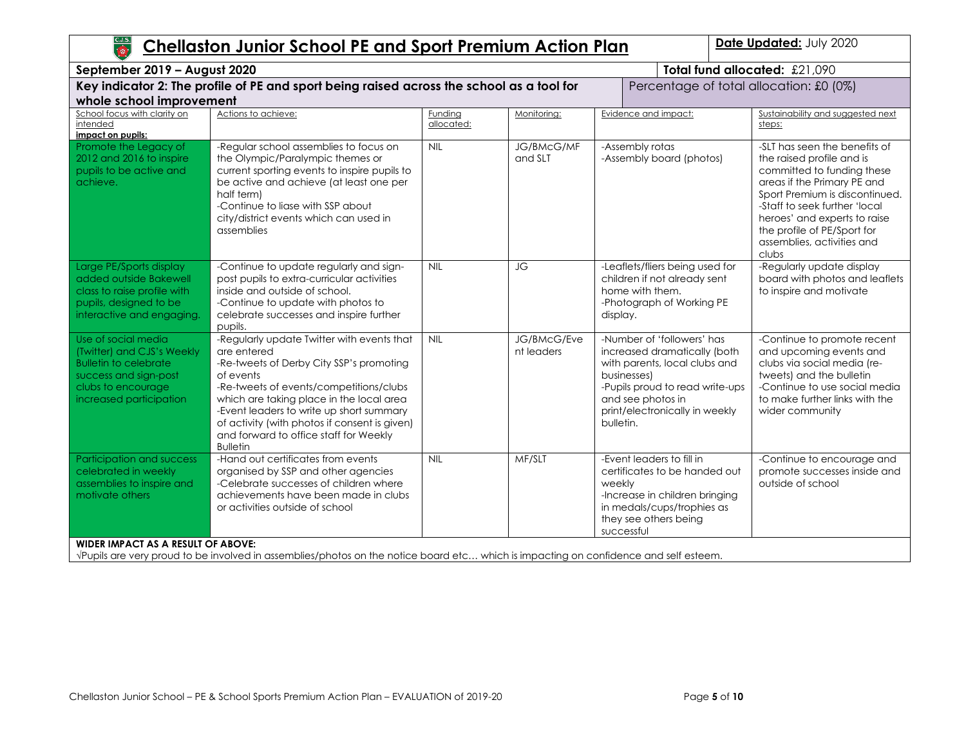| C.J.S.<br>TOP                                                                                                                                               | Date Updated: July 2020<br><b>Chellaston Junior School PE and Sport Premium Action Plan</b>                                                                                                                                                                                                                                                                         |                       |                           |                                                                                                                                                                                                                   |                                                                                                                                                                                                                                                                                                  |  |  |  |
|-------------------------------------------------------------------------------------------------------------------------------------------------------------|---------------------------------------------------------------------------------------------------------------------------------------------------------------------------------------------------------------------------------------------------------------------------------------------------------------------------------------------------------------------|-----------------------|---------------------------|-------------------------------------------------------------------------------------------------------------------------------------------------------------------------------------------------------------------|--------------------------------------------------------------------------------------------------------------------------------------------------------------------------------------------------------------------------------------------------------------------------------------------------|--|--|--|
|                                                                                                                                                             | Total fund allocated: £21,090<br>September 2019 - August 2020                                                                                                                                                                                                                                                                                                       |                       |                           |                                                                                                                                                                                                                   |                                                                                                                                                                                                                                                                                                  |  |  |  |
| whole school improvement                                                                                                                                    | Key indicator 2: The profile of PE and sport being raised across the school as a tool for                                                                                                                                                                                                                                                                           |                       |                           |                                                                                                                                                                                                                   | Percentage of total allocation: £0 (0%)                                                                                                                                                                                                                                                          |  |  |  |
| School focus with clarity on<br>intended<br>impact on pupils:                                                                                               | Actions to achieve:                                                                                                                                                                                                                                                                                                                                                 | Funding<br>allocated: | Monitoring:               | Evidence and impact:                                                                                                                                                                                              | Sustainability and suggested next<br>steps:                                                                                                                                                                                                                                                      |  |  |  |
| Promote the Legacy of<br>2012 and 2016 to inspire<br>pupils to be active and<br>achieve.                                                                    | -Regular school assemblies to focus on<br>the Olympic/Paralympic themes or<br>current sporting events to inspire pupils to<br>be active and achieve (at least one per<br>half term)<br>-Continue to liase with SSP about<br>city/district events which can used in<br>assemblies                                                                                    | <b>NIL</b>            | JG/BMcG/MF<br>and SLT     | -Assembly rotas<br>-Assembly board (photos)                                                                                                                                                                       | -SLT has seen the benefits of<br>the raised profile and is<br>committed to funding these<br>areas if the Primary PE and<br>Sport Premium is discontinued.<br>-Staff to seek further 'local<br>heroes' and experts to raise<br>the profile of PE/Sport for<br>assemblies, activities and<br>clubs |  |  |  |
| Large PE/Sports display<br>added outside Bakewell<br>class to raise profile with<br>pupils, designed to be<br>interactive and engaging.                     | -Continue to update regularly and sign-<br>post pupils to extra-curricular activities<br>inside and outside of school.<br>-Continue to update with photos to<br>celebrate successes and inspire further<br>pupils.                                                                                                                                                  | <b>NIL</b>            | JG                        | -Leaflets/fliers being used for<br>children if not already sent<br>home with them.<br>-Photograph of Working PE<br>display.                                                                                       | -Regularly update display<br>board with photos and leaflets<br>to inspire and motivate                                                                                                                                                                                                           |  |  |  |
| Use of social media<br>(Twitter) and CJS's Weekly<br><b>Bulletin to celebrate</b><br>success and sign-post<br>clubs to encourage<br>increased participation | -Regularly update Twitter with events that<br>are entered<br>-Re-tweets of Derby City SSP's promoting<br>of events<br>-Re-tweets of events/competitions/clubs<br>which are taking place in the local area<br>-Event leaders to write up short summary<br>of activity (with photos if consent is given)<br>and forward to office staff for Weekly<br><b>Bulletin</b> | NIL                   | JG/BMcG/Eve<br>nt leaders | -Number of 'followers' has<br>increased dramatically (both<br>with parents, local clubs and<br>businesses)<br>-Pupils proud to read write-ups<br>and see photos in<br>print/electronically in weekly<br>bulletin. | -Continue to promote recent<br>and upcoming events and<br>clubs via social media (re-<br>tweets) and the bulletin<br>-Continue to use social media<br>to make further links with the<br>wider community                                                                                          |  |  |  |
| Participation and success<br>celebrated in weekly<br>assemblies to inspire and<br>motivate others                                                           | -Hand out certificates from events<br>organised by SSP and other agencies<br>-Celebrate successes of children where<br>achievements have been made in clubs<br>or activities outside of school                                                                                                                                                                      | <b>NIL</b>            | MF/SLT                    | -Event leaders to fill in<br>certificates to be handed out<br>weekly<br>-Increase in children bringing<br>in medals/cups/trophies as<br>they see others being<br>successful                                       | -Continue to encourage and<br>promote successes inside and<br>outside of school                                                                                                                                                                                                                  |  |  |  |
| <b>WIDER IMPACT AS A RESULT OF ABOVE:</b>                                                                                                                   | VPupils are very proud to be involved in assemblies/photos on the notice board etc which is impacting on confidence and self esteem.                                                                                                                                                                                                                                |                       |                           |                                                                                                                                                                                                                   |                                                                                                                                                                                                                                                                                                  |  |  |  |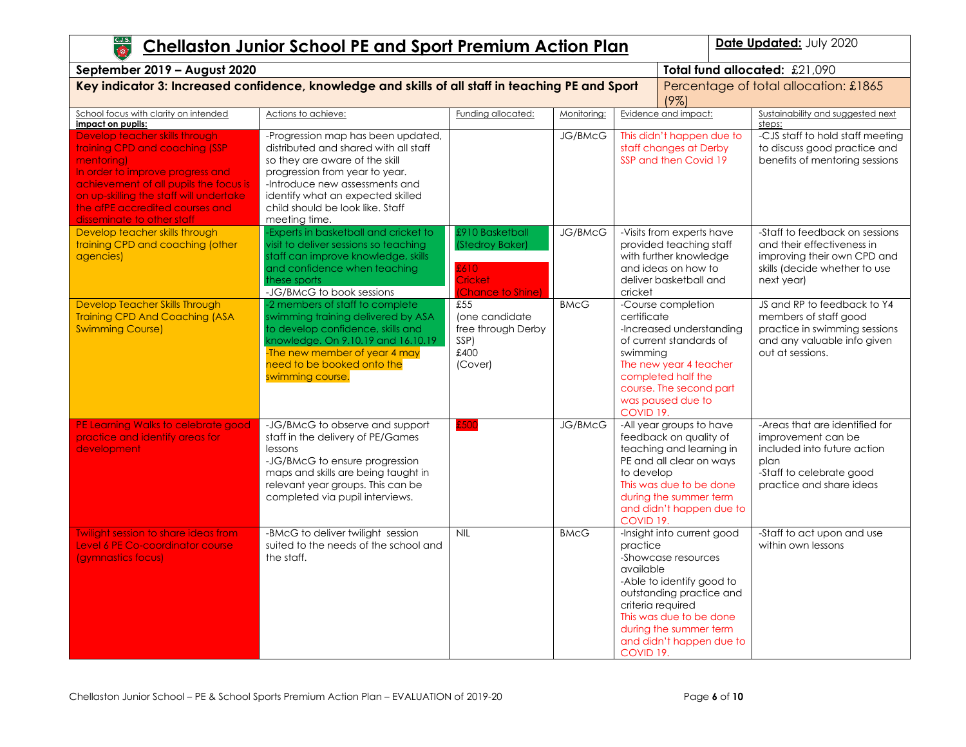| C.J.S.<br>Date Updated: July 2020<br><b>Chellaston Junior School PE and Sport Premium Action Plan</b><br>$\overline{\bullet}$                                                                                                                                            |                                                                                                                                                                                                                                                                             |                                                                                  |                |                                                                                                                                                                                                                                                                     |                                                                                                                                                                                             |                                                                                                                                                     |  |                                                  |
|--------------------------------------------------------------------------------------------------------------------------------------------------------------------------------------------------------------------------------------------------------------------------|-----------------------------------------------------------------------------------------------------------------------------------------------------------------------------------------------------------------------------------------------------------------------------|----------------------------------------------------------------------------------|----------------|---------------------------------------------------------------------------------------------------------------------------------------------------------------------------------------------------------------------------------------------------------------------|---------------------------------------------------------------------------------------------------------------------------------------------------------------------------------------------|-----------------------------------------------------------------------------------------------------------------------------------------------------|--|--------------------------------------------------|
| Total fund allocated: £21,090<br>September 2019 - August 2020                                                                                                                                                                                                            |                                                                                                                                                                                                                                                                             |                                                                                  |                |                                                                                                                                                                                                                                                                     |                                                                                                                                                                                             |                                                                                                                                                     |  |                                                  |
| Key indicator 3: Increased confidence, knowledge and skills of all staff in teaching PE and Sport<br>Percentage of total allocation: £1865<br>$(9\%)$                                                                                                                    |                                                                                                                                                                                                                                                                             |                                                                                  |                |                                                                                                                                                                                                                                                                     |                                                                                                                                                                                             |                                                                                                                                                     |  |                                                  |
| School focus with clarity on intended<br>impact on pupils:                                                                                                                                                                                                               | Actions to achieve:                                                                                                                                                                                                                                                         | Funding allocated:                                                               | Monitoring:    |                                                                                                                                                                                                                                                                     | Evidence and impact:                                                                                                                                                                        | Sustainability and suggested next<br>steps:                                                                                                         |  |                                                  |
| Develop teacher skills through<br>training CPD and coaching (SSP<br>mentoring)<br>In order to improve progress and<br>achievement of all pupils the focus is<br>on up-skilling the staff will undertake<br>the afPE accredited courses and<br>disseminate to other staff | -Progression map has been updated,<br>distributed and shared with all staff<br>so they are aware of the skill<br>progression from year to year.<br>-Introduce new assessments and<br>identify what an expected skilled<br>child should be look like. Staff<br>meeting time. |                                                                                  | <b>JG/BMcG</b> |                                                                                                                                                                                                                                                                     | This didn't happen due to<br>staff changes at Derby<br>SSP and then Covid 19                                                                                                                | -CJS staff to hold staff meeting<br>to discuss good practice and<br>benefits of mentoring sessions                                                  |  |                                                  |
| Develop teacher skills through<br>training CPD and coaching (other<br>agencies)                                                                                                                                                                                          | Experts in basketball and cricket to<br>visit to deliver sessions so teaching<br>staff can improve knowledge, skills<br>and confidence when teaching<br>these sports<br>-JG/BMcG to book sessions                                                                           | £910 Basketball<br>(Stedroy Baker)<br>£610<br>Cricket<br><b>Chance to Shine)</b> | JG/BMcG        | cricket                                                                                                                                                                                                                                                             | -Visits from experts have<br>provided teaching staff<br>with further knowledge<br>and ideas on how to<br>deliver basketball and                                                             | -Staff to feedback on sessions<br>and their effectiveness in<br>improving their own CPD and<br>skills (decide whether to use<br>next year)          |  |                                                  |
| Develop Teacher Skills Through<br><b>Training CPD And Coaching (ASA</b><br><b>Swimming Course)</b>                                                                                                                                                                       | -2 members of staff to complete<br>swimming training delivered by ASA<br>to develop confidence, skills and<br>knowledge. On 9.10.19 and 16.10.19<br>-The new member of year 4 may<br>need to be booked onto the<br>swimming course.                                         | £55<br>(one candidate<br>free through Derby<br>SSP)<br>£400<br>(Cover)           | <b>BMcG</b>    | certificate<br>swimming<br>COVID 19.                                                                                                                                                                                                                                | -Course completion<br>-Increased understanding<br>of current standards of<br>The new year 4 teacher<br>completed half the<br>course. The second part<br>was paused due to                   | JS and RP to feedback to Y4<br>members of staff good<br>practice in swimming sessions<br>and any valuable info given<br>out at sessions.            |  |                                                  |
| PE Learning Walks to celebrate good<br>practice and identify areas for<br>development                                                                                                                                                                                    | -JG/BMcG to observe and support<br>staff in the delivery of PE/Games<br>lessons<br>-JG/BMcG to ensure progression<br>maps and skills are being taught in<br>relevant year groups. This can be<br>completed via pupil interviews.                                            | £500                                                                             | <b>JG/BMcG</b> | to develop                                                                                                                                                                                                                                                          | -All year groups to have<br>feedback on quality of<br>teaching and learning in<br>PE and all clear on ways<br>This was due to be done<br>during the summer term<br>and didn't happen due to | -Areas that are identified for<br>improvement can be<br>included into future action<br>plan<br>-Staff to celebrate good<br>practice and share ideas |  |                                                  |
| <b>Twilight session to share ideas from</b><br>Level 6 PE Co-coordinator course<br>(gymnastics focus)                                                                                                                                                                    | -BMcG to deliver twilight session<br>suited to the needs of the school and<br>the staff.                                                                                                                                                                                    | <b>NIL</b>                                                                       | <b>BMcG</b>    | COVID 19.<br>-Insight into current good<br>practice<br>-Showcase resources<br>available<br>-Able to identify good to<br>outstanding practice and<br>criteria required<br>This was due to be done<br>during the summer term<br>and didn't happen due to<br>COVID 19. |                                                                                                                                                                                             |                                                                                                                                                     |  | -Staff to act upon and use<br>within own lessons |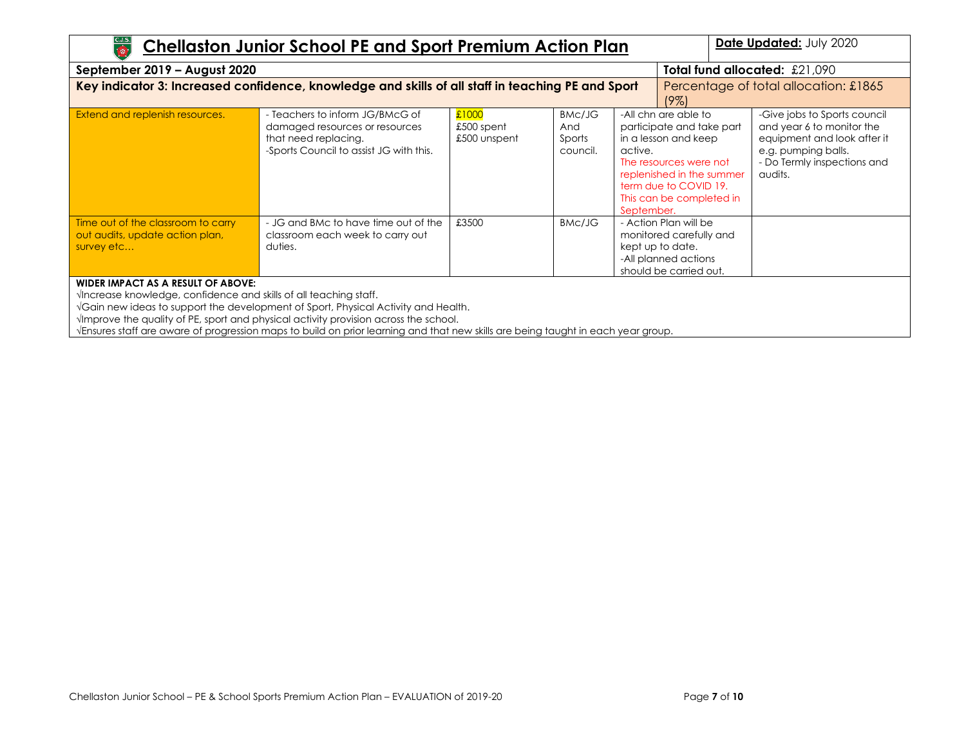| $rac{C.J.S.}{\left(\frac{1}{\sqrt{2}}\right)}$<br>Date Updated: July 2020<br><b>Chellaston Junior School PE and Sport Premium Action Plan</b>                                                                                                                                                                                                             |                                                                                                                                                                                               |                                                                                                                 |                                     |                                                                                                                                                                                                                |  |                                                                                                                                                           |  |  |
|-----------------------------------------------------------------------------------------------------------------------------------------------------------------------------------------------------------------------------------------------------------------------------------------------------------------------------------------------------------|-----------------------------------------------------------------------------------------------------------------------------------------------------------------------------------------------|-----------------------------------------------------------------------------------------------------------------|-------------------------------------|----------------------------------------------------------------------------------------------------------------------------------------------------------------------------------------------------------------|--|-----------------------------------------------------------------------------------------------------------------------------------------------------------|--|--|
| September 2019 - August 2020                                                                                                                                                                                                                                                                                                                              |                                                                                                                                                                                               |                                                                                                                 |                                     |                                                                                                                                                                                                                |  | Total fund allocated: $£21.090$                                                                                                                           |  |  |
| Key indicator 3: Increased confidence, knowledge and skills of all staff in teaching PE and Sport<br>Percentage of total allocation: £1865<br>19%)                                                                                                                                                                                                        |                                                                                                                                                                                               |                                                                                                                 |                                     |                                                                                                                                                                                                                |  |                                                                                                                                                           |  |  |
| Extend and replenish resources.                                                                                                                                                                                                                                                                                                                           | - Teachers to inform JG/BMcG of<br>damaged resources or resources<br>that need replacing.<br>-Sports Council to assist JG with this.                                                          | £1000<br>£500 spent<br>£500 unspent                                                                             | BMc/JG<br>And<br>Sports<br>council. | -All chn are able to<br>participate and take part<br>in a lesson and keep<br>active.<br>The resources were not<br>replenished in the summer<br>term due to COVID 19.<br>This can be completed in<br>September. |  | -Give jobs to Sports council<br>and year 6 to monitor the<br>equipment and look after it<br>e.g. pumping balls.<br>- Do Termly inspections and<br>audits. |  |  |
| Time out of the classroom to carry<br>out audits, update action plan,<br>survey etc                                                                                                                                                                                                                                                                       | - JG and BMc to have time out of the<br>classroom each week to carry out<br>duties.                                                                                                           | £3500                                                                                                           | BMC/JG                              | - Action Plan will be<br>monitored carefully and<br>kept up to date.<br>-All planned actions<br>should be carried out.                                                                                         |  |                                                                                                                                                           |  |  |
| <b>WIDER IMPACT AS A RESULT OF ABOVE:</b><br>VIncrease knowledge, confidence and skills of all teaching staff.<br>$\mathbf{r} = \mathbf{r}$ , and the contract of the contract of the contract of the contract of the contract of the contract of the contract of the contract of the contract of the contract of the contract of the contract of the con | VGain new ideas to support the development of Sport, Physical Activity and Health.<br>$\sqrt{2}$ / $\sqrt{2}$ are the quality of PE, sport and physical activity provision across the school. | the contract of the contract of the contract of the contract of the contract of the contract of the contract of |                                     |                                                                                                                                                                                                                |  |                                                                                                                                                           |  |  |

√Ensures staff are aware of progression maps to build on prior learning and that new skills are being taught in each year group.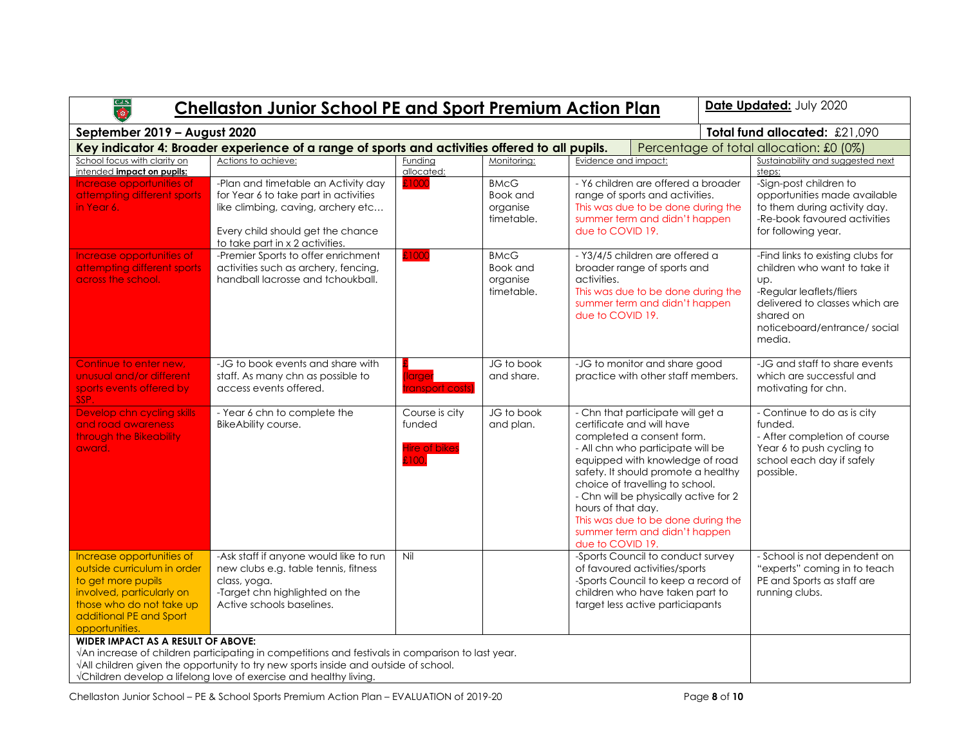| C.J.S.<br><b>Chellaston Junior School PE and Sport Premium Action Plan</b>                                                                                                           | Date Updated: July 2020                                                                                                                                                                                                                                      |                                                          |                                                   |                                                                                                                                                                                                                                                                                                                                                                                                         |  |                                                                                                                                                                                              |
|--------------------------------------------------------------------------------------------------------------------------------------------------------------------------------------|--------------------------------------------------------------------------------------------------------------------------------------------------------------------------------------------------------------------------------------------------------------|----------------------------------------------------------|---------------------------------------------------|---------------------------------------------------------------------------------------------------------------------------------------------------------------------------------------------------------------------------------------------------------------------------------------------------------------------------------------------------------------------------------------------------------|--|----------------------------------------------------------------------------------------------------------------------------------------------------------------------------------------------|
| September 2019 - August 2020                                                                                                                                                         |                                                                                                                                                                                                                                                              | Total fund allocated: £21,090                            |                                                   |                                                                                                                                                                                                                                                                                                                                                                                                         |  |                                                                                                                                                                                              |
|                                                                                                                                                                                      | Key indicator 4: Broader experience of a range of sports and activities offered to all pupils.                                                                                                                                                               |                                                          |                                                   |                                                                                                                                                                                                                                                                                                                                                                                                         |  | Percentage of total allocation: £0 (0%)                                                                                                                                                      |
| School focus with clarity on<br>intended impact on pupils:                                                                                                                           | Actions to achieve:                                                                                                                                                                                                                                          | Funding<br>allocated:                                    | Monitoring:                                       | Evidence and impact:                                                                                                                                                                                                                                                                                                                                                                                    |  | Sustainability and suggested next<br>steps:                                                                                                                                                  |
| Increase opportunities of<br>attempting different sports<br>in Year 6.                                                                                                               | -Plan and timetable an Activity day<br>for Year 6 to take part in activities<br>like climbing, caving, archery etc<br>Every child should get the chance<br>to take part in x 2 activities.                                                                   | £100                                                     | <b>BMcG</b><br>Book and<br>organise<br>timetable. | - Y6 children are offered a broader<br>range of sports and activities.<br>This was due to be done during the<br>summer term and didn't happen<br>due to COVID 19.                                                                                                                                                                                                                                       |  | -Sign-post children to<br>opportunities made available<br>to them during activity day.<br>-Re-book favoured activities<br>for following year.                                                |
| Increase opportunities of<br>attempting different sports<br>across the school.                                                                                                       | -Premier Sports to offer enrichment<br>activities such as archery, fencing,<br>handball lacrosse and tchoukball.                                                                                                                                             | £1000                                                    | <b>BMcG</b><br>Book and<br>organise<br>timetable. | - Y3/4/5 children are offered a<br>broader range of sports and<br>activities.<br>This was due to be done during the<br>summer term and didn't happen<br>due to COVID 19.                                                                                                                                                                                                                                |  | -Find links to existing clubs for<br>children who want to take it<br>UD.<br>-Regular leaflets/fliers<br>delivered to classes which are<br>shared on<br>noticeboard/entrance/social<br>media. |
| Continue to enter new.<br>unusual and/or different<br>sports events offered by<br>SSP.                                                                                               | -JG to book events and share with<br>staff. As many chn as possible to<br>access events offered.                                                                                                                                                             | (larger<br>transport costs'                              | JG to book<br>and share.                          | -JG to monitor and share good<br>practice with other staff members.                                                                                                                                                                                                                                                                                                                                     |  | -JG and staff to share events<br>which are successful and<br>motivating for chn.                                                                                                             |
| Develop chn cycling skills<br>and road awareness<br>through the Bikeability<br>award.                                                                                                | - Year 6 chn to complete the<br><b>BikeAbility course.</b>                                                                                                                                                                                                   | Course is city<br>funded<br><b>Hire of bikes</b><br>E100 | JG to book<br>and plan.                           | - Chn that participate will get a<br>certificate and will have<br>completed a consent form.<br>- All chn who participate will be<br>equipped with knowledge of road<br>safety. It should promote a healthy<br>choice of travelling to school.<br>- Chn will be physically active for 2<br>hours of that day.<br>This was due to be done during the<br>summer term and didn't happen<br>due to COVID 19. |  | - Continue to do as is city<br>funded.<br>- After completion of course<br>Year 6 to push cycling to<br>school each day if safely<br>possible.                                                |
| Increase opportunities of<br>outside curriculum in order<br>to get more pupils<br>involved, particularly on<br>those who do not take up<br>additional PE and Sport<br>opportunities. | -Ask staff if anyone would like to run<br>new clubs e.g. table tennis, fitness<br>class, yoga.<br>-Target chn highlighted on the<br>Active schools baselines.                                                                                                | Nil                                                      |                                                   | -Sports Council to conduct survey<br>of favoured activities/sports<br>-Sports Council to keep a record of<br>children who have taken part to<br>target less active particiapants                                                                                                                                                                                                                        |  | - School is not dependent on<br>"experts" coming in to teach<br>PE and Sports as staff are<br>running clubs.                                                                                 |
| <b>WIDER IMPACT AS A RESULT OF ABOVE:</b>                                                                                                                                            | VAn increase of children participating in competitions and festivals in comparison to last year.<br>VAII children given the opportunity to try new sports inside and outside of school.<br>√Children develop a lifelong love of exercise and healthy living. |                                                          |                                                   |                                                                                                                                                                                                                                                                                                                                                                                                         |  |                                                                                                                                                                                              |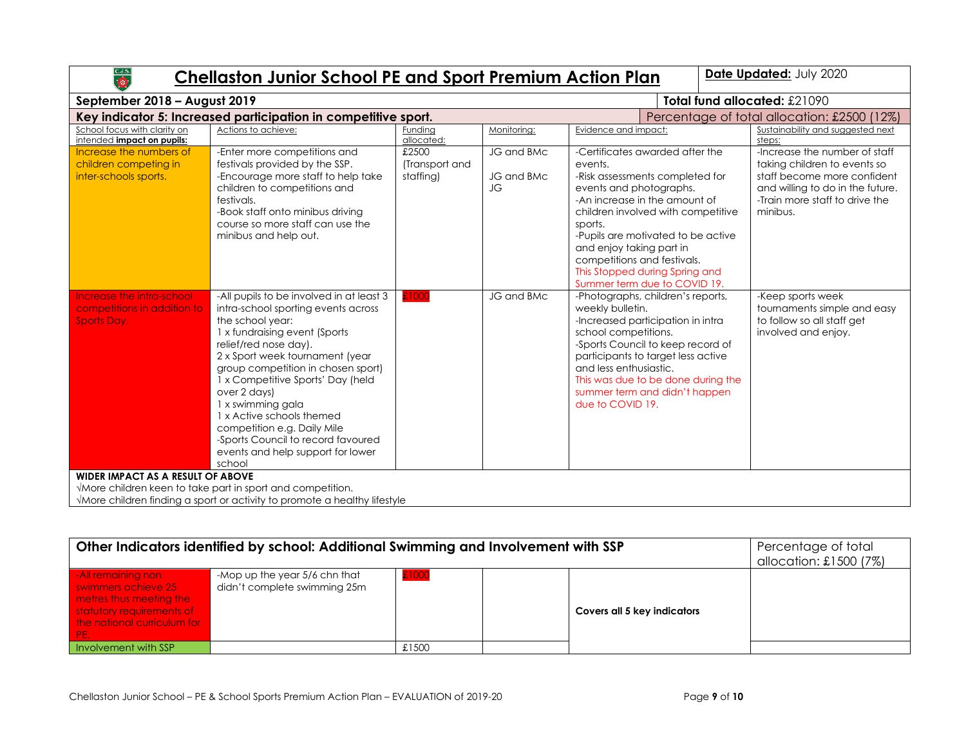# **Chellaston Junior School PE and Sport Premium Action Plan | Date Updated: July 2020**

| September 2018 - August 2019                                              |                                                                                                                                                                                                                                                                                                                                                                                                                                                                    | Total fund allocated: £21090         |                                |                                                                                                                                                                                                                                                                                                                                                               |                                                                                                                                                                                |
|---------------------------------------------------------------------------|--------------------------------------------------------------------------------------------------------------------------------------------------------------------------------------------------------------------------------------------------------------------------------------------------------------------------------------------------------------------------------------------------------------------------------------------------------------------|--------------------------------------|--------------------------------|---------------------------------------------------------------------------------------------------------------------------------------------------------------------------------------------------------------------------------------------------------------------------------------------------------------------------------------------------------------|--------------------------------------------------------------------------------------------------------------------------------------------------------------------------------|
|                                                                           | Key indicator 5: Increased participation in competitive sport.                                                                                                                                                                                                                                                                                                                                                                                                     |                                      |                                |                                                                                                                                                                                                                                                                                                                                                               | Percentage of total allocation: £2500 (12%)                                                                                                                                    |
| School focus with clarity on                                              | Actions to achieve:                                                                                                                                                                                                                                                                                                                                                                                                                                                | Funding                              | Monitoring:                    | Evidence and impact:                                                                                                                                                                                                                                                                                                                                          | Sustainability and suggested next                                                                                                                                              |
| intended impact on pupils:                                                |                                                                                                                                                                                                                                                                                                                                                                                                                                                                    | allocated:                           |                                |                                                                                                                                                                                                                                                                                                                                                               | steps:                                                                                                                                                                         |
| Increase the numbers of<br>children competing in<br>inter-schools sports. | -Enter more competitions and<br>festivals provided by the SSP.<br>-Encourage more staff to help take<br>children to competitions and<br>festivals.<br>-Book staff onto minibus driving<br>course so more staff can use the<br>minibus and help out.                                                                                                                                                                                                                | £2500<br>(Transport and<br>staffing) | JG and BMc<br>JG and BMc<br>JG | -Certificates awarded after the<br>events.<br>-Risk assessments completed for<br>events and photographs.<br>-An increase in the amount of<br>children involved with competitive<br>sports.<br>-Pupils are motivated to be active<br>and enjoy taking part in<br>competitions and festivals.<br>This Stopped during Spring and<br>Summer term due to COVID 19. | -Increase the number of staff<br>taking children to events so<br>staff become more confident<br>and willing to do in the future.<br>-Train more staff to drive the<br>minibus. |
| Increase the intra-school<br>competitions in addition to<br>Sports Day.   | -All pupils to be involved in at least 3<br>intra-school sporting events across<br>the school year:<br>1 x fundraising event (Sports)<br>relief/red nose day).<br>2 x Sport week tournament (year<br>group competition in chosen sport)<br>1 x Competitive Sports' Day (held<br>over 2 days)<br>1 x swimming gala<br>1 x Active schools themed<br>competition e.g. Daily Mile<br>-Sports Council to record favoured<br>events and help support for lower<br>school | £1000                                | JG and BMc                     | -Photographs, children's reports,<br>weekly bulletin.<br>-Increased participation in intra<br>school competitions.<br>-Sports Council to keep record of<br>participants to target less active<br>and less enthusiastic.<br>This was due to be done during the<br>summer term and didn't happen<br>due to COVID 19.                                            | -Keep sports week<br>tournaments simple and easy<br>to follow so all staff get<br>involved and enjoy.                                                                          |
| <b>WIDER IMPACT AS A RESULT OF ABOVE</b>                                  | VMore children keen to take part in sport and competition.                                                                                                                                                                                                                                                                                                                                                                                                         |                                      |                                |                                                                                                                                                                                                                                                                                                                                                               |                                                                                                                                                                                |
|                                                                           | VMore children finding a sport or activity to promote a healthy lifestyle                                                                                                                                                                                                                                                                                                                                                                                          |                                      |                                |                                                                                                                                                                                                                                                                                                                                                               |                                                                                                                                                                                |

| Other Indicators identified by school: Additional Swimming and Involvement with SSP                                                             | Percentage of total<br>allocation: £1500 (7%)                 |       |                             |  |
|-------------------------------------------------------------------------------------------------------------------------------------------------|---------------------------------------------------------------|-------|-----------------------------|--|
| -All remaining non<br>swimmers achieve 25<br>metres thus meeting the<br>statutory requirements of<br>the national curriculum for<br><b>YPEN</b> | -Mop up the year 5/6 chn that<br>didn't complete swimming 25m | £1000 | Covers all 5 key indicators |  |
| Involvement with SSP                                                                                                                            |                                                               | £1500 |                             |  |

 $rac{\text{CJS}}{\text{O}}$